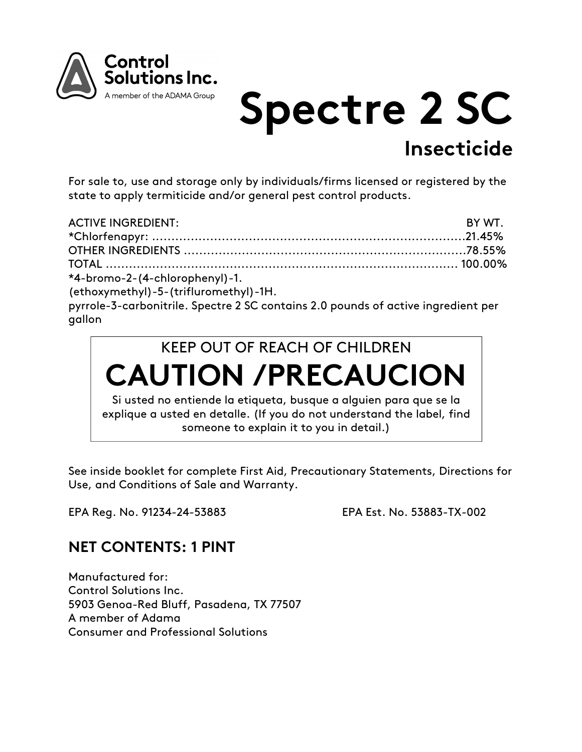

# **Spectre 2 SC Insecticide**

For sale to, use and storage only by individuals/firms licensed or registered by the state to apply termiticide and/or general pest control products.

| <b>ACTIVE INGREDIENT:</b>      | BY WT. |
|--------------------------------|--------|
|                                |        |
|                                |        |
|                                |        |
| *4-bromo-2-(4-chlorophenyl)-1. |        |

(ethoxymethyl)-5-(trifluromethyl)-1H.

pyrrole-3-carbonitrile. Spectre 2 SC contains 2.0 pounds of active ingredient per gallon



See inside booklet for complete First Aid, Precautionary Statements, Directions for Use, and Conditions of Sale and Warranty.

EPA Reg. No. 91234-24-53883 EPA Est. No. 53883-TX-002

## **NET CONTENTS: 1 PINT**

Manufactured for: Control Solutions Inc. 5903 Genoa-Red Bluff, Pasadena, TX 77507 A member of Adama Consumer and Professional Solutions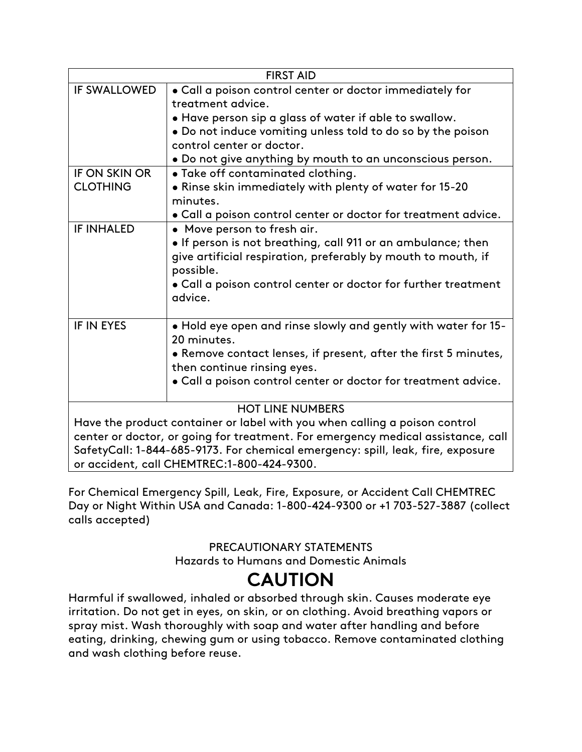| <b>FIRST AID</b>                                                                 |                                                                 |  |
|----------------------------------------------------------------------------------|-----------------------------------------------------------------|--|
| <b>IF SWALLOWED</b>                                                              | . Call a poison control center or doctor immediately for        |  |
|                                                                                  | treatment advice.                                               |  |
|                                                                                  | . Have person sip a glass of water if able to swallow.          |  |
|                                                                                  | • Do not induce vomiting unless told to do so by the poison     |  |
|                                                                                  | control center or doctor.                                       |  |
|                                                                                  | . Do not give anything by mouth to an unconscious person.       |  |
| <b>IF ON SKIN OR</b>                                                             | • Take off contaminated clothing.                               |  |
| <b>CLOTHING</b>                                                                  | . Rinse skin immediately with plenty of water for 15-20         |  |
|                                                                                  | minutes.                                                        |  |
|                                                                                  | . Call a poison control center or doctor for treatment advice.  |  |
| <b>IF INHALED</b>                                                                | • Move person to fresh air.                                     |  |
|                                                                                  | . If person is not breathing, call 911 or an ambulance; then    |  |
|                                                                                  | give artificial respiration, preferably by mouth to mouth, if   |  |
|                                                                                  | possible.                                                       |  |
|                                                                                  | . Call a poison control center or doctor for further treatment  |  |
|                                                                                  | advice.                                                         |  |
|                                                                                  |                                                                 |  |
| <b>IF IN EYES</b>                                                                | . Hold eye open and rinse slowly and gently with water for 15-  |  |
|                                                                                  | 20 minutes.                                                     |  |
|                                                                                  | • Remove contact lenses, if present, after the first 5 minutes, |  |
|                                                                                  | then continue rinsing eyes.                                     |  |
|                                                                                  | . Call a poison control center or doctor for treatment advice.  |  |
| <b>HOT LINE NUMBERS</b>                                                          |                                                                 |  |
| Have the product container or label with you when calling a poison control       |                                                                 |  |
| center or doctor, or going for treatment. For emergency medical assistance, call |                                                                 |  |
| SafetyCall: 1-844-685-9173. For chemical emergency: spill, leak, fire, exposure  |                                                                 |  |
| or accident, call CHEMTREC:1-800-424-9300.                                       |                                                                 |  |

For Chemical Emergency Spill, Leak, Fire, Exposure, or Accident Call CHEMTREC Day or Night Within USA and Canada: 1-800-424-9300 or +1 703-527-3887 (collect calls accepted)

#### PRECAUTIONARY STATEMENTS Hazards to Humans and Domestic Animals

# **CAUTION**

Harmful if swallowed, inhaled or absorbed through skin. Causes moderate eye irritation. Do not get in eyes, on skin, or on clothing. Avoid breathing vapors or spray mist. Wash thoroughly with soap and water after handling and before eating, drinking, chewing gum or using tobacco. Remove contaminated clothing and wash clothing before reuse.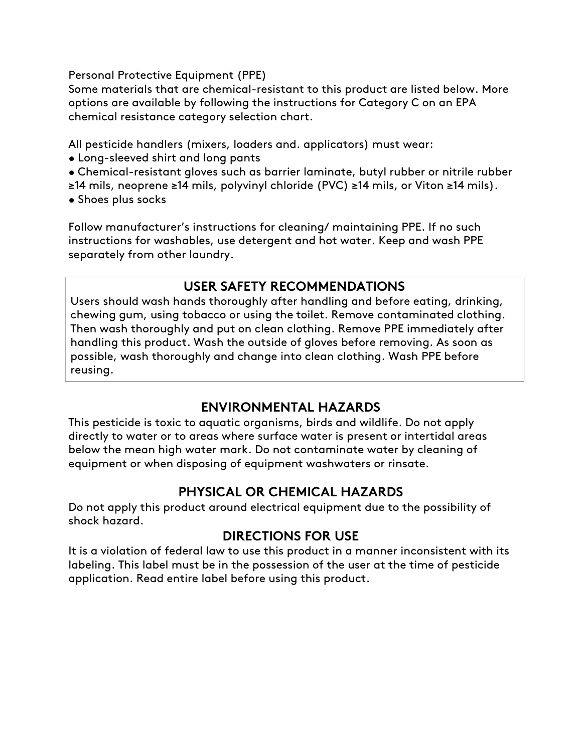Personal Protective Equipment (PPE)

Some materials that are chemical-resistant to this product are listed below. More options are available by following the instructions for Category C on an EPA chemical resistance category selection chart.

All pesticide handlers (mixers, loaders and. applicators) must wear:

- Long-sleeved shirt and long pants
- Chemical-resistant gloves such as barrier laminate, butyl rubber or nitrile rubber
- ≥14 mils, neoprene ≥14 mils, polyvinyl chloride (PVC) ≥14 mils, or Viton ≥14 mils).
- Shoes plus socks

Follow manufacturer's instructions for cleaning/ maintaining PPE. If no such instructions for washables, use detergent and hot water. Keep and wash PPE separately from other laundry.

## **USER SAFETY RECOMMENDATIONS**

Users should wash hands thoroughly after handling and before eating, drinking, chewing gum, using tobacco or using the toilet. Remove contaminated clothing. Then wash thoroughly and put on clean clothing. Remove PPE immediately after handling this product. Wash the outside of gloves before removing. As soon as possible, wash thoroughly and change into clean clothing. Wash PPE before reusing.

### **ENVIRONMENTAL HAZARDS**

This pesticide is toxic to aquatic organisms, birds and wildlife. Do not apply directly to water or to areas where surface water is present or intertidal areas below the mean high water mark. Do not contaminate water by cleaning of equipment or when disposing of equipment washwaters or rinsate.

## **PHYSICAL OR CHEMICAL HAZARDS**

Do not apply this product around electrical equipment due to the possibility of shock hazard.

### **DIRECTIONS FOR USE**

It is a violation of federal law to use this product in a manner inconsistent with its labeling. This label must be in the possession of the user at the time of pesticide application. Read entire label before using this product.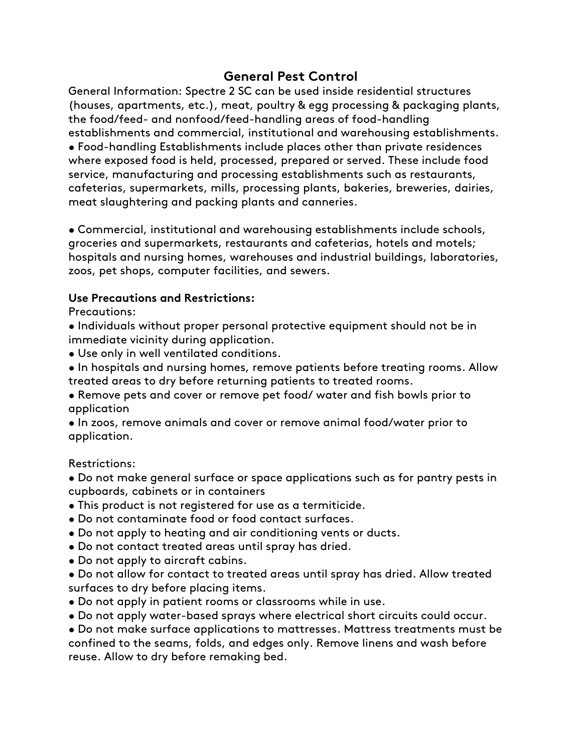#### **General Pest Control**

General Information: Spectre 2 SC can be used inside residential structures (houses, apartments, etc.), meat, poultry & egg processing & packaging plants, the food/feed- and nonfood/feed-handling areas of food-handling establishments and commercial, institutional and warehousing establishments. • Food-handling Establishments include places other than private residences where exposed food is held, processed, prepared or served. These include food service, manufacturing and processing establishments such as restaurants, cafeterias, supermarkets, mills, processing plants, bakeries, breweries, dairies, meat slaughtering and packing plants and canneries.

• Commercial, institutional and warehousing establishments include schools, groceries and supermarkets, restaurants and cafeterias, hotels and motels; hospitals and nursing homes, warehouses and industrial buildings, laboratories, zoos, pet shops, computer facilities, and sewers.

#### **Use Precautions and Restrictions:**

Precautions:

• Individuals without proper personal protective equipment should not be in immediate vicinity during application.

- Use only in well ventilated conditions.
- In hospitals and nursing homes, remove patients before treating rooms. Allow treated areas to dry before returning patients to treated rooms.
- Remove pets and cover or remove pet food/ water and fish bowls prior to application
- In zoos, remove animals and cover or remove animal food/water prior to application.

Restrictions:

- Do not make general surface or space applications such as for pantry pests in cupboards, cabinets or in containers
- This product is not registered for use as a termiticide.
- Do not contaminate food or food contact surfaces.
- Do not apply to heating and air conditioning vents or ducts.
- Do not contact treated areas until spray has dried.
- Do not apply to aircraft cabins.
- Do not allow for contact to treated areas until spray has dried. Allow treated surfaces to dry before placing items.
- Do not apply in patient rooms or classrooms while in use.
- Do not apply water-based sprays where electrical short circuits could occur.

• Do not make surface applications to mattresses. Mattress treatments must be confined to the seams, folds, and edges only. Remove linens and wash before reuse. Allow to dry before remaking bed.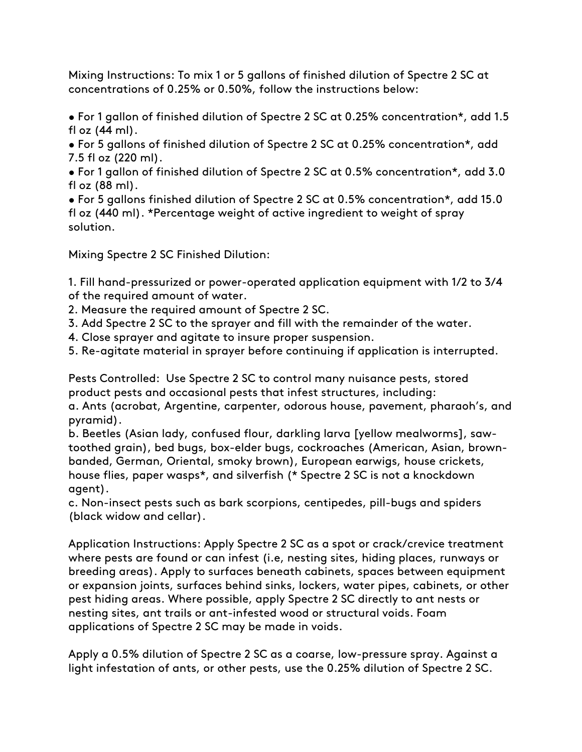Mixing Instructions: To mix 1 or 5 gallons of finished dilution of Spectre 2 SC at concentrations of 0.25% or 0.50%, follow the instructions below:

• For 1 gallon of finished dilution of Spectre 2 SC at 0.25% concentration\*, add 1.5 fl oz (44 ml).

• For 5 gallons of finished dilution of Spectre 2 SC at 0.25% concentration\*, add 7.5 fl oz (220 ml).

• For 1 gallon of finished dilution of Spectre 2 SC at 0.5% concentration\*, add 3.0 fl oz (88 ml).

• For 5 gallons finished dilution of Spectre 2 SC at 0.5% concentration\*, add 15.0 fl oz (440 ml). \*Percentage weight of active ingredient to weight of spray solution.

Mixing Spectre 2 SC Finished Dilution:

1. Fill hand-pressurized or power-operated application equipment with 1/2 to 3/4 of the required amount of water.

2. Measure the required amount of Spectre 2 SC.

3. Add Spectre 2 SC to the sprayer and fill with the remainder of the water.

4. Close sprayer and agitate to insure proper suspension.

5. Re-agitate material in sprayer before continuing if application is interrupted.

Pests Controlled: Use Spectre 2 SC to control many nuisance pests, stored product pests and occasional pests that infest structures, including:

a. Ants (acrobat, Argentine, carpenter, odorous house, pavement, pharaoh's, and pyramid).

b. Beetles (Asian lady, confused flour, darkling larva [yellow mealworms], sawtoothed grain), bed bugs, box-elder bugs, cockroaches (American, Asian, brownbanded, German, Oriental, smoky brown), European earwigs, house crickets, house flies, paper wasps\*, and silverfish (\* Spectre 2 SC is not a knockdown agent).

c. Non-insect pests such as bark scorpions, centipedes, pill-bugs and spiders (black widow and cellar).

Application Instructions: Apply Spectre 2 SC as a spot or crack/crevice treatment where pests are found or can infest (i.e, nesting sites, hiding places, runways or breeding areas). Apply to surfaces beneath cabinets, spaces between equipment or expansion joints, surfaces behind sinks, lockers, water pipes, cabinets, or other pest hiding areas. Where possible, apply Spectre 2 SC directly to ant nests or nesting sites, ant trails or ant-infested wood or structural voids. Foam applications of Spectre 2 SC may be made in voids.

Apply a 0.5% dilution of Spectre 2 SC as a coarse, low-pressure spray. Against a light infestation of ants, or other pests, use the 0.25% dilution of Spectre 2 SC.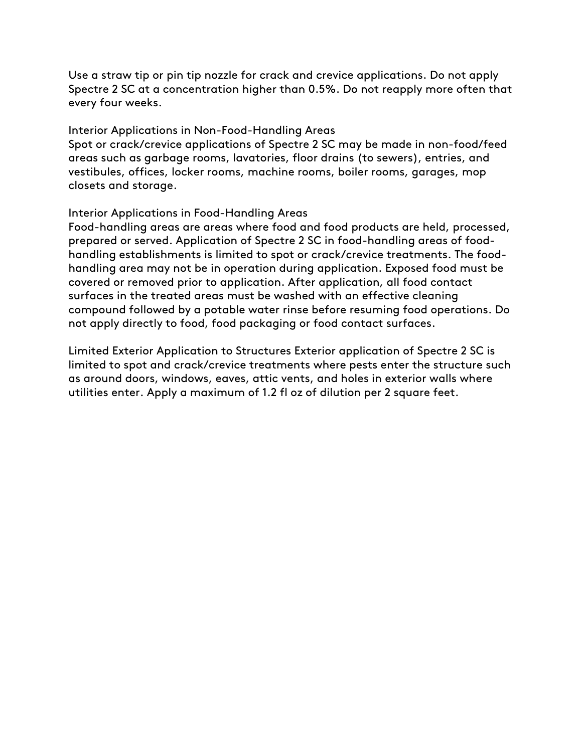Use a straw tip or pin tip nozzle for crack and crevice applications. Do not apply Spectre 2 SC at a concentration higher than 0.5%. Do not reapply more often that every four weeks.

#### Interior Applications in Non-Food-Handling Areas

Spot or crack/crevice applications of Spectre 2 SC may be made in non-food/feed areas such as garbage rooms, lavatories, floor drains (to sewers), entries, and vestibules, offices, locker rooms, machine rooms, boiler rooms, garages, mop closets and storage.

#### Interior Applications in Food-Handling Areas

Food-handling areas are areas where food and food products are held, processed, prepared or served. Application of Spectre 2 SC in food-handling areas of foodhandling establishments is limited to spot or crack/crevice treatments. The foodhandling area may not be in operation during application. Exposed food must be covered or removed prior to application. After application, all food contact surfaces in the treated areas must be washed with an effective cleaning compound followed by a potable water rinse before resuming food operations. Do not apply directly to food, food packaging or food contact surfaces.

Limited Exterior Application to Structures Exterior application of Spectre 2 SC is limited to spot and crack/crevice treatments where pests enter the structure such as around doors, windows, eaves, attic vents, and holes in exterior walls where utilities enter. Apply a maximum of 1.2 fl oz of dilution per 2 square feet.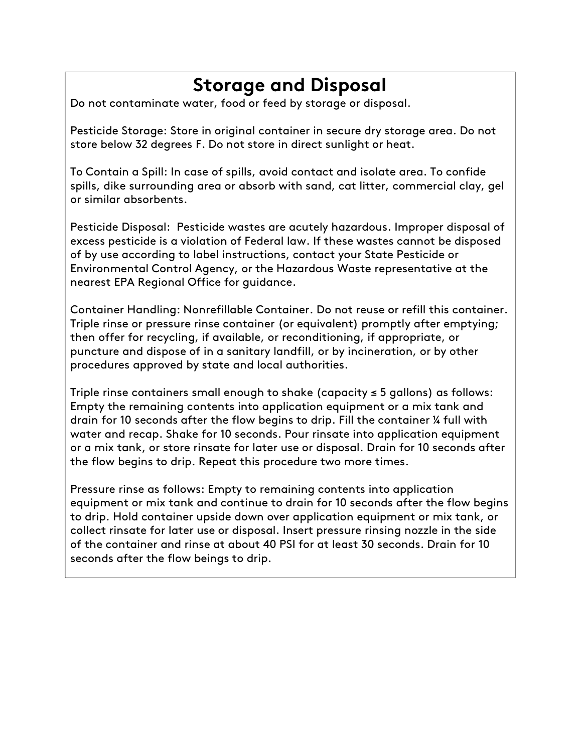## **Storage and Disposal**

Do not contaminate water, food or feed by storage or disposal.

Pesticide Storage: Store in original container in secure dry storage area. Do not store below 32 degrees F. Do not store in direct sunlight or heat.

To Contain a Spill: In case of spills, avoid contact and isolate area. To confide spills, dike surrounding area or absorb with sand, cat litter, commercial clay, gel or similar absorbents.

Pesticide Disposal: Pesticide wastes are acutely hazardous. Improper disposal of excess pesticide is a violation of Federal law. If these wastes cannot be disposed of by use according to label instructions, contact your State Pesticide or Environmental Control Agency, or the Hazardous Waste representative at the nearest EPA Regional Office for guidance.

Container Handling: Nonrefillable Container. Do not reuse or refill this container. Triple rinse or pressure rinse container (or equivalent) promptly after emptying; then offer for recycling, if available, or reconditioning, if appropriate, or puncture and dispose of in a sanitary landfill, or by incineration, or by other procedures approved by state and local authorities.

Triple rinse containers small enough to shake (capacity ≤ 5 gallons) as follows: Empty the remaining contents into application equipment or a mix tank and drain for 10 seconds after the flow begins to drip. Fill the container ¼ full with water and recap. Shake for 10 seconds. Pour rinsate into application equipment or a mix tank, or store rinsate for later use or disposal. Drain for 10 seconds after the flow begins to drip. Repeat this procedure two more times.

Pressure rinse as follows: Empty to remaining contents into application equipment or mix tank and continue to drain for 10 seconds after the flow begins to drip. Hold container upside down over application equipment or mix tank, or collect rinsate for later use or disposal. Insert pressure rinsing nozzle in the side of the container and rinse at about 40 PSI for at least 30 seconds. Drain for 10 seconds after the flow beings to drip.